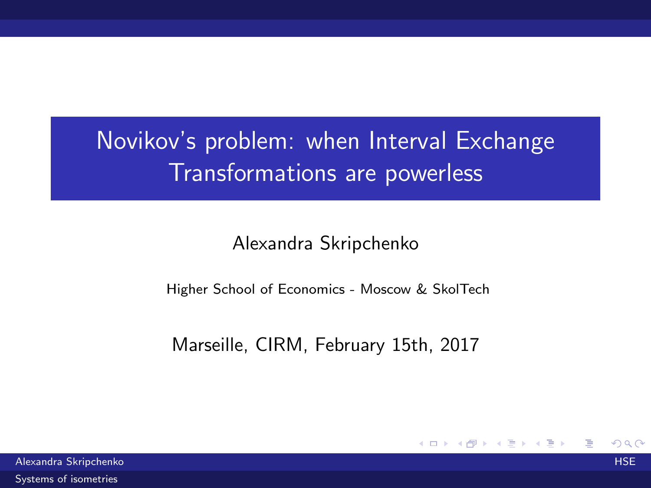# <span id="page-0-0"></span>Novikov's problem: when Interval Exchange Transformations are powerless

Alexandra Skripchenko

Higher School of Economics - Moscow & SkolTech

Marseille, CIRM, February 15th, 2017

4. 0. 8.

→ 何 ▶

∋ »

 $209$ 

Alexandra Skripchenko HSE [Systems of isometries](#page-23-0)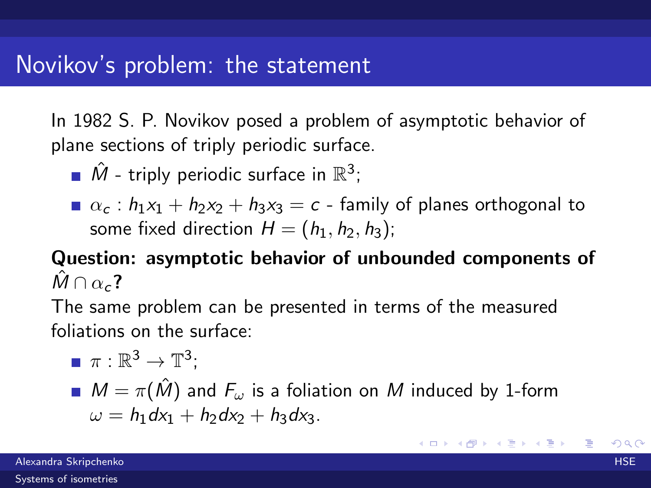In 1982 S. P. Novikov posed a problem of asymptotic behavior of plane sections of triply periodic surface.

- $\hat{M}$  triply periodic surface in  $\mathbb{R}^3$ ;
- $\alpha_c$  :  $h_1x_1 + h_2x_2 + h_3x_3 = c$  family of planes orthogonal to some fixed direction  $H = (h_1, h_2, h_3)$ ;

### Question: asymptotic behavior of unbounded components of  $\hat{M} \cap \alpha_c$ ?

The same problem can be presented in terms of the measured foliations on the surface:

\n- $$
\pi : \mathbb{R}^3 \to \mathbb{T}^3
$$
;
\n- $M = \pi(\hat{M})$  and  $F_{\omega}$  is a foliation on  $M$  induced by 1-form  $\omega = h_1 dx_1 + h_2 dx_2 + h_3 dx_3$ .
\n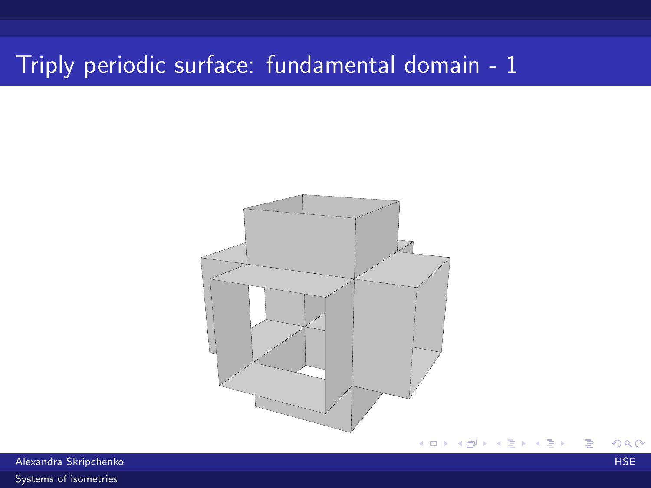# Triply periodic surface: fundamental domain - 1



Alexandra Skripchenko HSE

[Systems of isometries](#page-0-0)

E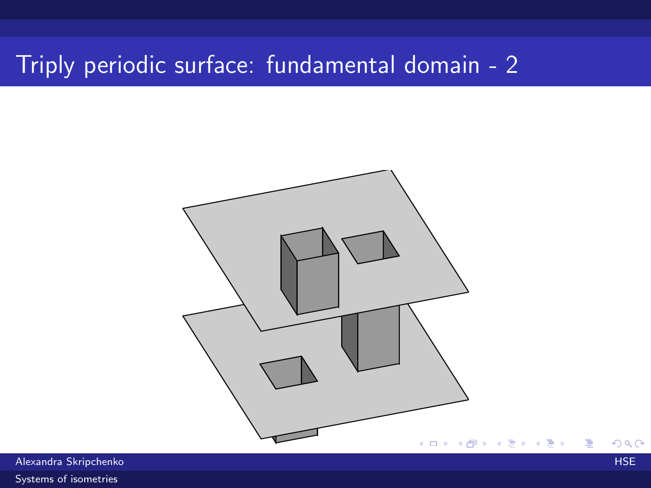# Triply periodic surface: fundamental domain - 2

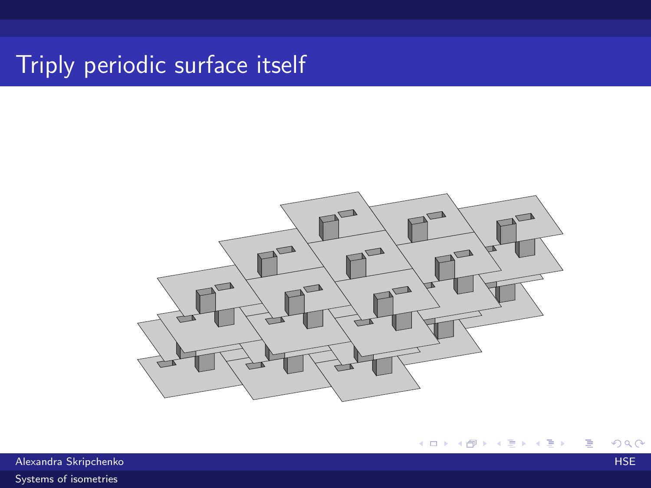# Triply periodic surface itself



Alexandra Skripchenko HSE [Systems of isometries](#page-0-0)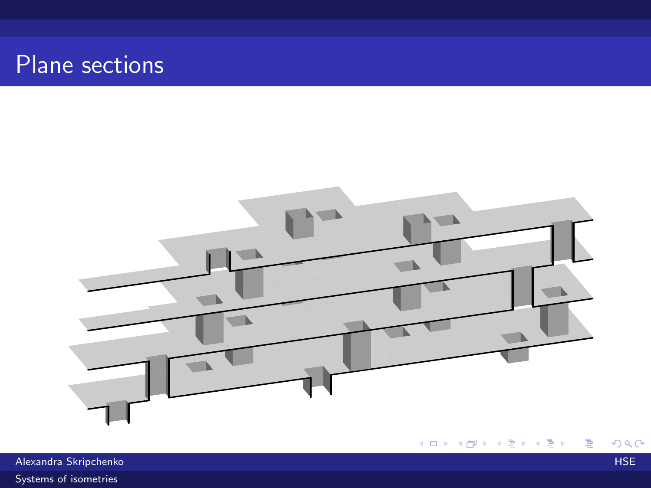### Plane sections



メロメ メタメ メミメ メミメ  $2990$ 重

Alexandra Skripchenko HSE [Systems of isometries](#page-0-0)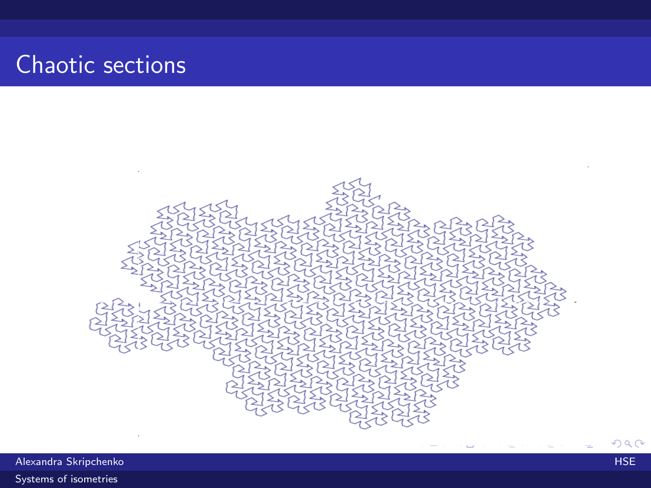# Chaotic sections



Alexandra Skripchenko HSE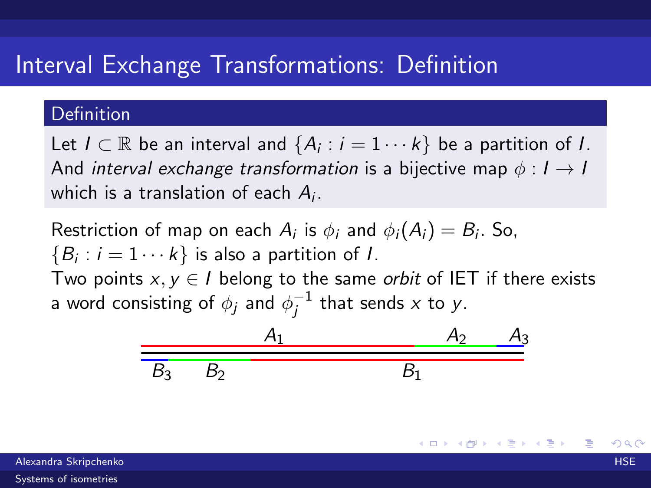### Interval Exchange Transformations: Definition

#### Definition

Let  $I \subset \mathbb{R}$  be an interval and  $\{A_i : i = 1 \cdots k\}$  be a partition of I. And interval exchange transformation is a bijective map  $\phi: I \rightarrow I$ which is a translation of each  $A_i$ .

Restriction of map on each  $A_i$  is  $\phi_i$  and  $\phi_i(A_i) = B_i$ . So,  $\{B_i : i = 1 \cdots k\}$  is also a partition of *I*. Two points  $x, y \in I$  belong to the same *orbit* of IET if there exists a word consisting of  $\phi_j$  and  $\phi_i^{-1}$  $j^{-1}$  that sends x to y.

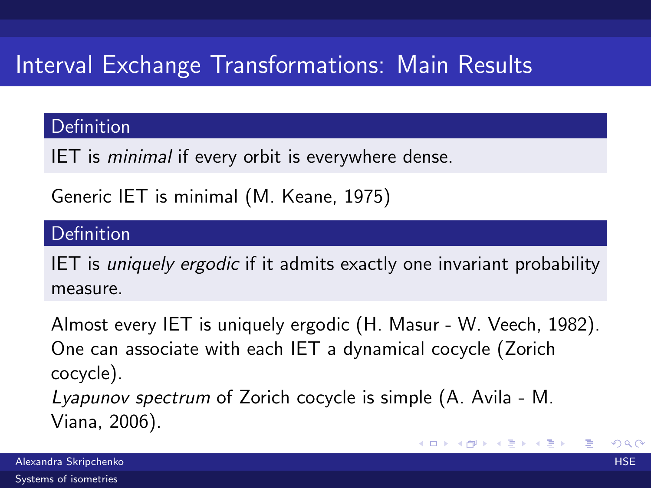# Interval Exchange Transformations: Main Results

#### Definition

IET is minimal if every orbit is everywhere dense.

Generic IET is minimal (M. Keane, 1975)

#### Definition

IET is uniquely ergodic if it admits exactly one invariant probability measure.

Almost every IET is uniquely ergodic (H. Masur - W. Veech, 1982). One can associate with each IET a dynamical cocycle (Zorich cocycle). Lyapunov spectrum of Zorich cocycle is simple (A. Avila - M. Viana, 2006).

イロメ イ部メ イミメ イモメ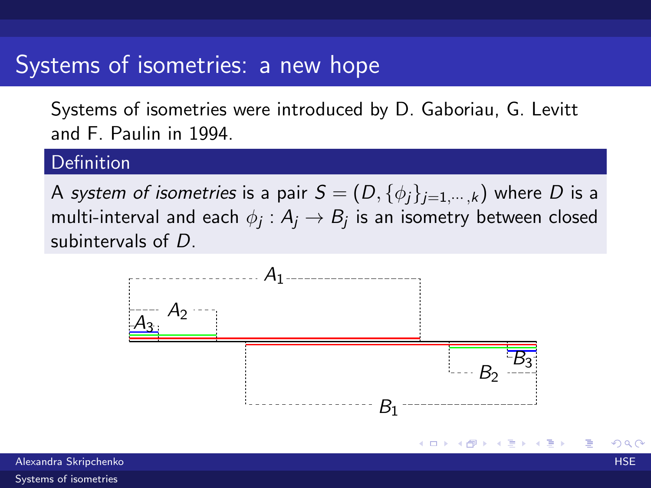### Systems of isometries: a new hope

Systems of isometries were introduced by D. Gaboriau, G. Levitt and F. Paulin in 1994.

#### Definition

A system of isometries is a pair  $S = (D, \{\phi_i\}_{i=1,\dots,k})$  where D is a multi-interval and each  $\phi_j:A_j\to B_j$  is an isometry between closed subintervals of D.



メロメ メ都 メメ きょ メモメ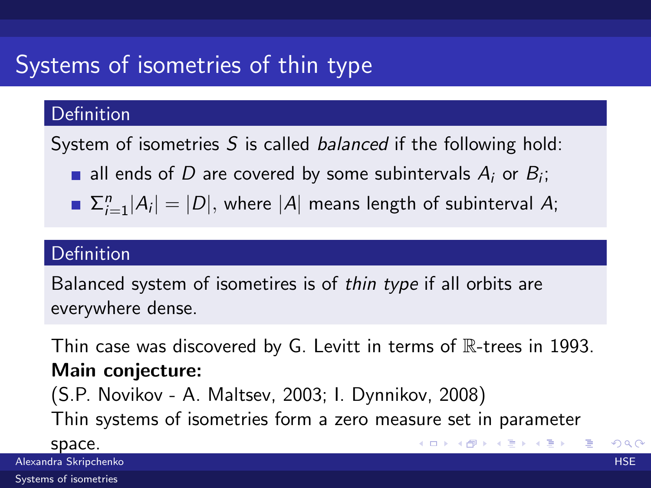# Systems of isometries of thin type

#### Definition

System of isometries S is called *balanced* if the following hold:

- all ends of D are covered by some subintervals  $A_i$  or  $B_i$ ;
- $\sum_{i=1}^{n} |A_i| = |D|$ , where  $|A|$  means length of subinterval A;

#### Definition

Balanced system of isometires is of thin type if all orbits are everywhere dense.

Thin case was discovered by G. Levitt in terms of  $\mathbb{R}$ -trees in 1993. Main conjecture: (S.P. Novikov - A. Maltsev, 2003; I. Dynnikov, 2008) Thin systems of isometries form a zero measure set in parameter space. イロト イ団 ト イヨト イヨト 一店

Alexandra Skripchenko HSE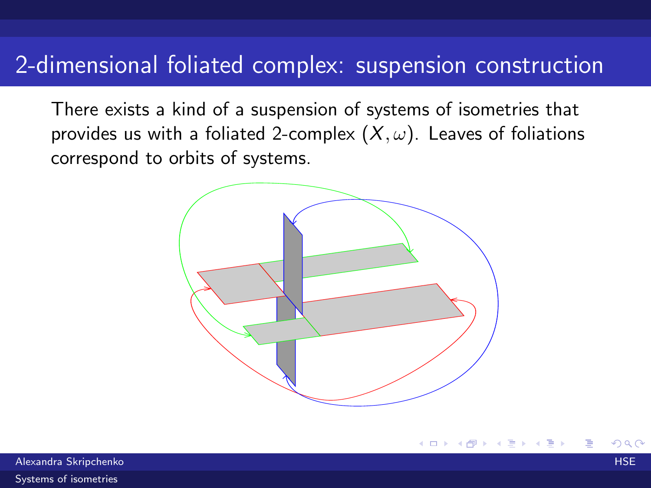### 2-dimensional foliated complex: suspension construction

There exists a kind of a suspension of systems of isometries that provides us with a foliated 2-complex  $(X, \omega)$ . Leaves of foliations correspond to orbits of systems.



Alexandra Skripchenko HSE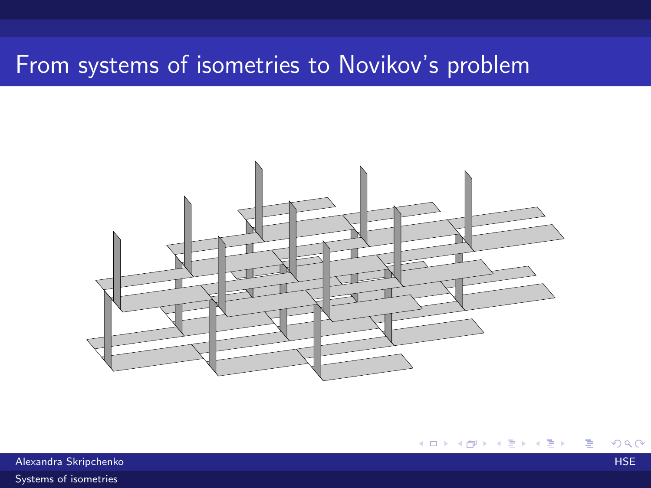## From systems of isometries to Novikov's problem



K ロ ▶ K 御 ▶ K 君 ▶ K 君 ▶  $299$ 活

Alexandra Skripchenko HSE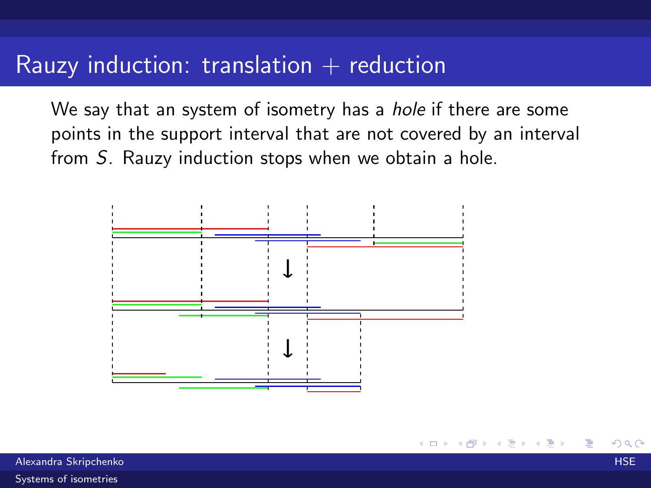### Rauzy induction: translation  $+$  reduction

We say that an system of isometry has a *hole* if there are some points in the support interval that are not covered by an interval from S. Rauzy induction stops when we obtain a hole.

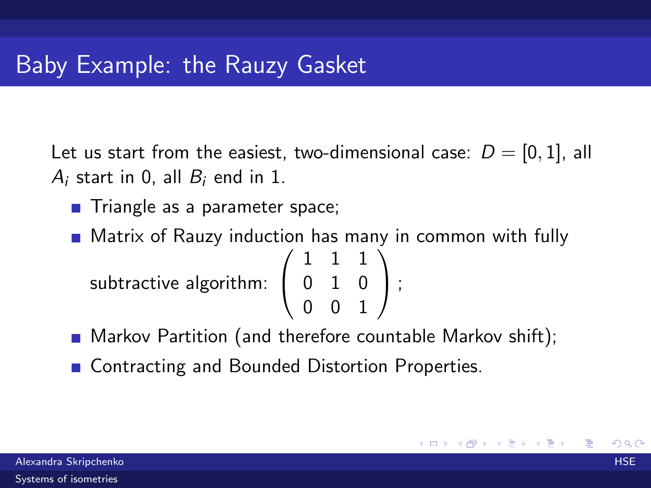Let us start from the easiest, two-dimensional case:  $D = [0, 1]$ , all  $A_i$  start in 0, all  $B_i$  end in 1.

- Triangle as a parameter space;
- **Matrix of Rauzy induction has many in common with fully** subtractive algorithm:  $\sqrt{ }$  $\overline{1}$ 1 1 1 0 1 0 0 0 1  $\setminus$  $\vert$  ;
- **Markov Partition (and therefore countable Markov shift);**
- Contracting and Bounded Distortion Properties.

メロメ メ都 メメ きょ メモメ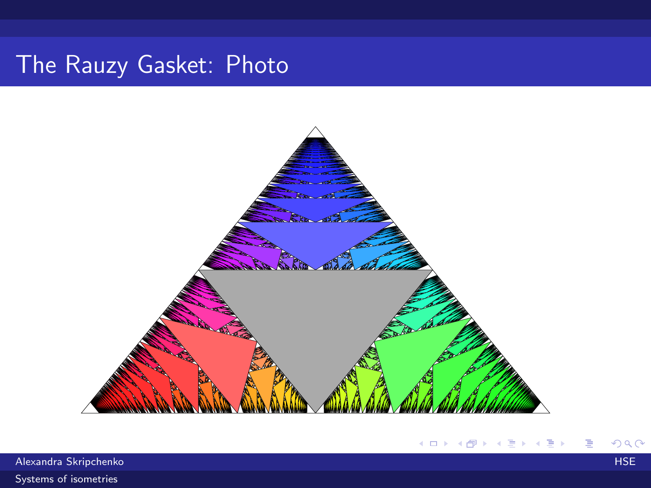## The Rauzy Gasket: Photo



Alexandra Skripchenko HSE (1999) - Alexandra Skripchenko HSE (1999) - Alexandra Skripchenko HSE (1999) - HSE ( [Systems of isometries](#page-0-0)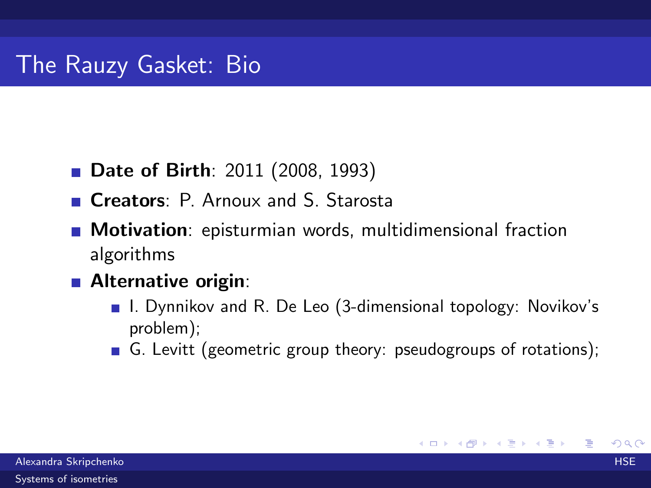### The Rauzy Gasket: Bio

- **Date of Birth**: 2011 (2008, 1993)
- Creators: P. Arnoux and S. Starosta
- **Motivation**: episturmian words, multidimensional fraction algorithms
- **Alternative origin:** 
	- I. Dynnikov and R. De Leo (3-dimensional topology: Novikov's problem);
	- G. Levitt (geometric group theory: pseudogroups of rotations);

メロト メ団 トメ ミトメ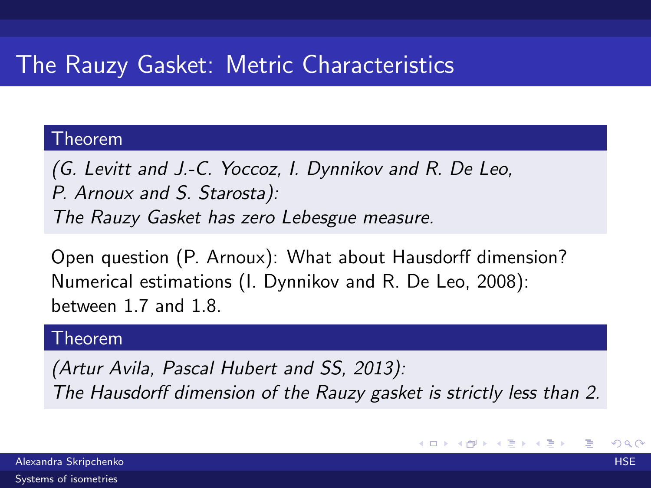# The Rauzy Gasket: Metric Characteristics

#### Theorem

(G. Levitt and J.-C. Yoccoz, I. Dynnikov and R. De Leo, P. Arnoux and S. Starosta): The Rauzy Gasket has zero Lebesgue measure.

Open question (P. Arnoux): What about Hausdorff dimension? Numerical estimations (I. Dynnikov and R. De Leo, 2008): between 1.7 and 1.8.

#### Theorem

(Artur Avila, Pascal Hubert and SS, 2013): The Hausdorff dimension of the Rauzy gasket is strictly less than 2.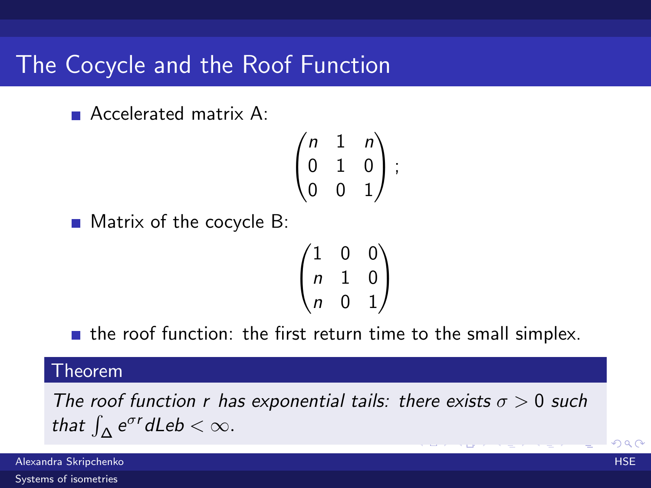### The Cocycle and the Roof Function

**Accelerated matrix A:** 

$$
\begin{pmatrix} n & 1 & n \\ 0 & 1 & 0 \\ 0 & 0 & 1 \end{pmatrix};
$$

 $\blacksquare$  Matrix of the cocycle B:

$$
\begin{pmatrix} 1 & 0 & 0 \\ n & 1 & 0 \\ n & 0 & 1 \end{pmatrix}
$$

 $\blacksquare$  the roof function: the first return time to the small simplex.

#### Theorem

The roof function r has exponential tails: there exists  $\sigma > 0$  such that  $\int_{\Delta} e^{\sigma r} d\mathsf{Leb} < \infty$ .

Alexandra Skripchenko HSE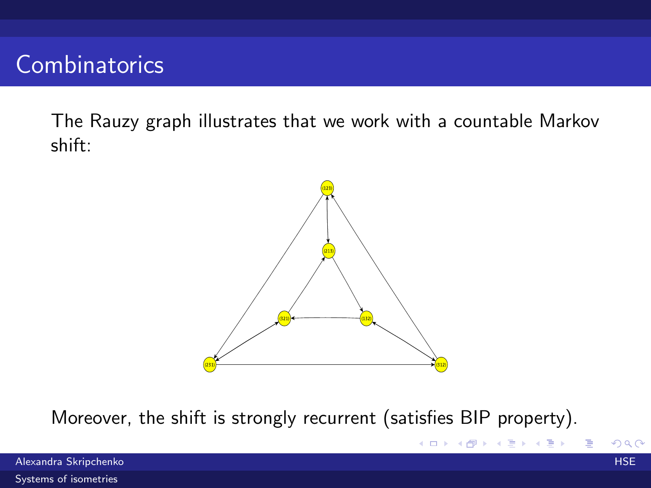### **Combinatorics**

The Rauzy graph illustrates that we work with a countable Markov shift:



Moreover, the shift is strongly recurrent (satisfies BIP property).

Alexandra Skripchenko HSE (HSE) – HSE (HSE) – HSE (HSE) – HSE (HSE) – HSE (HSE) – HSE (HSE) – HSE (HSE) – HSE

G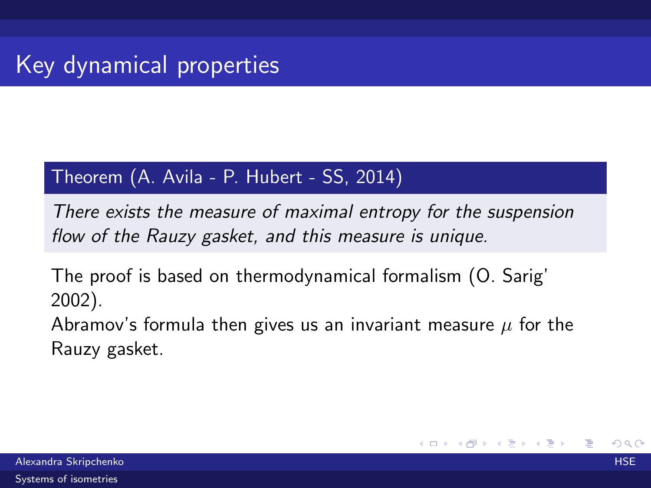#### Theorem (A. Avila - P. Hubert - SS, 2014)

There exists the measure of maximal entropy for the suspension flow of the Rauzy gasket, and this measure is unique.

The proof is based on thermodynamical formalism (O. Sarig' 2002).

Abramov's formula then gives us an invariant measure  $\mu$  for the Rauzy gasket.

メロメ メ都 メメ きょ メモメ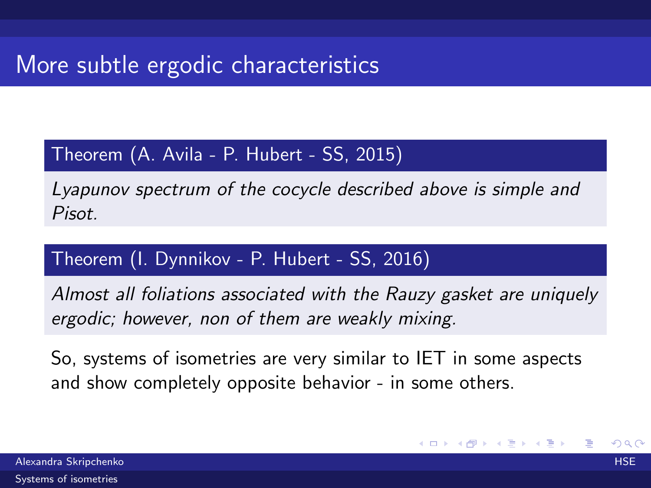### More subtle ergodic characteristics

#### Theorem (A. Avila - P. Hubert - SS, 2015)

Lyapunov spectrum of the cocycle described above is simple and Pisot.

#### Theorem (I. Dynnikov - P. Hubert - SS, 2016)

Almost all foliations associated with the Rauzy gasket are uniquely ergodic; however, non of them are weakly mixing.

So, systems of isometries are very similar to IET in some aspects and show completely opposite behavior - in some others.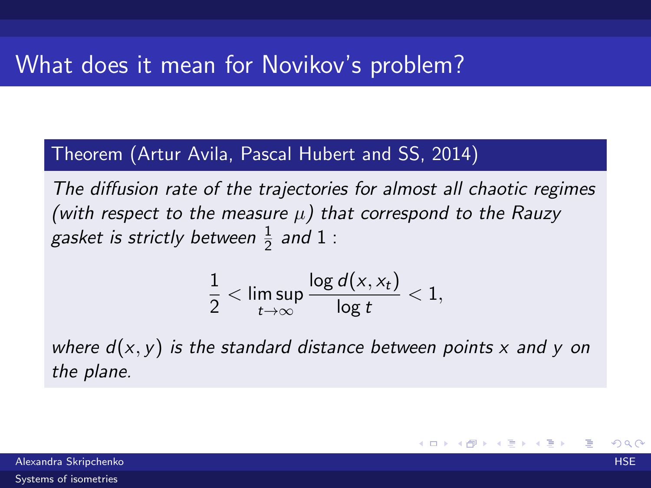#### Theorem (Artur Avila, Pascal Hubert and SS, 2014)

The diffusion rate of the trajectories for almost all chaotic regimes (with respect to the measure  $\mu$ ) that correspond to the Rauzy gasket is strictly between  $\frac{1}{2}$  and  $1$  :

$$
\frac{1}{2}<\limsup_{t\to\infty}\frac{\log d(x,x_t)}{\log t}<1,
$$

where  $d(x, y)$  is the standard distance between points x and y on the plane.

Alexandra Skripchenko HSE [Systems of isometries](#page-0-0)

メロメ メ都 メメ きょ メモメ